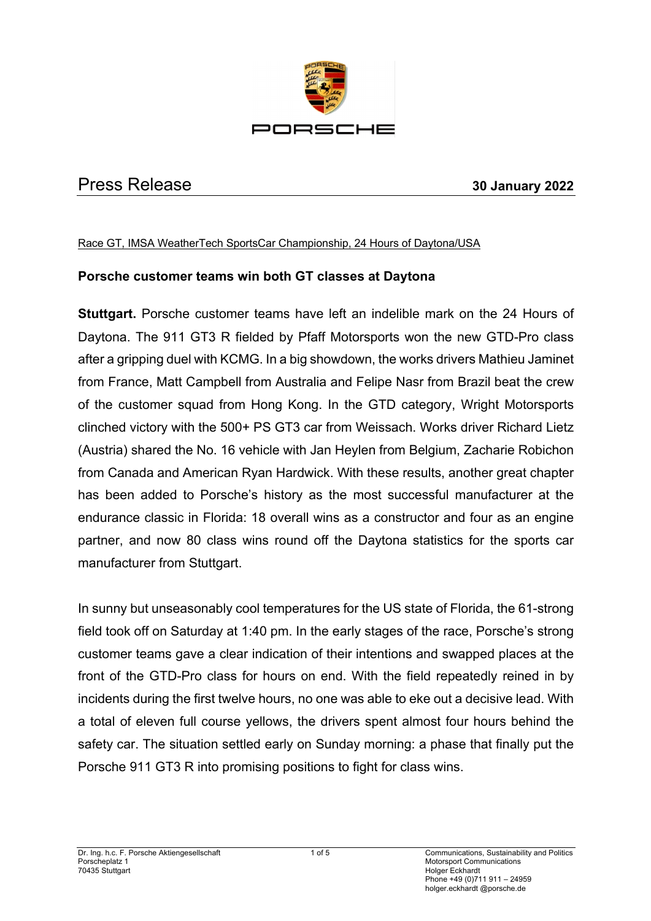

# Press Release **30 January 2022**

#### Race GT, IMSA WeatherTech SportsCar Championship, 24 Hours of Daytona/USA

## **Porsche customer teams win both GT classes at Daytona**

**Stuttgart.** Porsche customer teams have left an indelible mark on the 24 Hours of Daytona. The 911 GT3 R fielded by Pfaff Motorsports won the new GTD-Pro class after a gripping duel with KCMG. In a big showdown, the works drivers Mathieu Jaminet from France, Matt Campbell from Australia and Felipe Nasr from Brazil beat the crew of the customer squad from Hong Kong. In the GTD category, Wright Motorsports clinched victory with the 500+ PS GT3 car from Weissach. Works driver Richard Lietz (Austria) shared the No. 16 vehicle with Jan Heylen from Belgium, Zacharie Robichon from Canada and American Ryan Hardwick. With these results, another great chapter has been added to Porsche's history as the most successful manufacturer at the endurance classic in Florida: 18 overall wins as a constructor and four as an engine partner, and now 80 class wins round off the Daytona statistics for the sports car manufacturer from Stuttgart.

In sunny but unseasonably cool temperatures for the US state of Florida, the 61-strong field took off on Saturday at 1:40 pm. In the early stages of the race, Porsche's strong customer teams gave a clear indication of their intentions and swapped places at the front of the GTD-Pro class for hours on end. With the field repeatedly reined in by incidents during the first twelve hours, no one was able to eke out a decisive lead. With a total of eleven full course yellows, the drivers spent almost four hours behind the safety car. The situation settled early on Sunday morning: a phase that finally put the Porsche 911 GT3 R into promising positions to fight for class wins.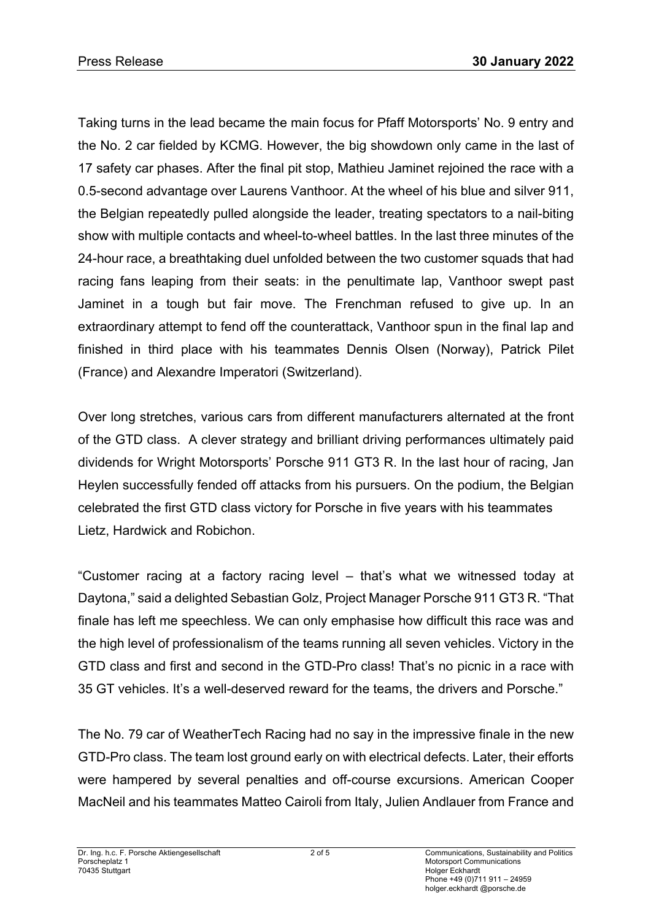Taking turns in the lead became the main focus for Pfaff Motorsports' No. 9 entry and the No. 2 car fielded by KCMG. However, the big showdown only came in the last of 17 safety car phases. After the final pit stop, Mathieu Jaminet rejoined the race with a 0.5-second advantage over Laurens Vanthoor. At the wheel of his blue and silver 911, the Belgian repeatedly pulled alongside the leader, treating spectators to a nail-biting show with multiple contacts and wheel-to-wheel battles. In the last three minutes of the 24-hour race, a breathtaking duel unfolded between the two customer squads that had racing fans leaping from their seats: in the penultimate lap, Vanthoor swept past Jaminet in a tough but fair move. The Frenchman refused to give up. In an extraordinary attempt to fend off the counterattack, Vanthoor spun in the final lap and finished in third place with his teammates Dennis Olsen (Norway), Patrick Pilet (France) and Alexandre Imperatori (Switzerland).

Over long stretches, various cars from different manufacturers alternated at the front of the GTD class. A clever strategy and brilliant driving performances ultimately paid dividends for Wright Motorsports' Porsche 911 GT3 R. In the last hour of racing, Jan Heylen successfully fended off attacks from his pursuers. On the podium, the Belgian celebrated the first GTD class victory for Porsche in five years with his teammates Lietz, Hardwick and Robichon.

"Customer racing at a factory racing level – that's what we witnessed today at Daytona," said a delighted Sebastian Golz, Project Manager Porsche 911 GT3 R. "That finale has left me speechless. We can only emphasise how difficult this race was and the high level of professionalism of the teams running all seven vehicles. Victory in the GTD class and first and second in the GTD-Pro class! That's no picnic in a race with 35 GT vehicles. It's a well-deserved reward for the teams, the drivers and Porsche."

The No. 79 car of WeatherTech Racing had no say in the impressive finale in the new GTD-Pro class. The team lost ground early on with electrical defects. Later, their efforts were hampered by several penalties and off-course excursions. American Cooper MacNeil and his teammates Matteo Cairoli from Italy, Julien Andlauer from France and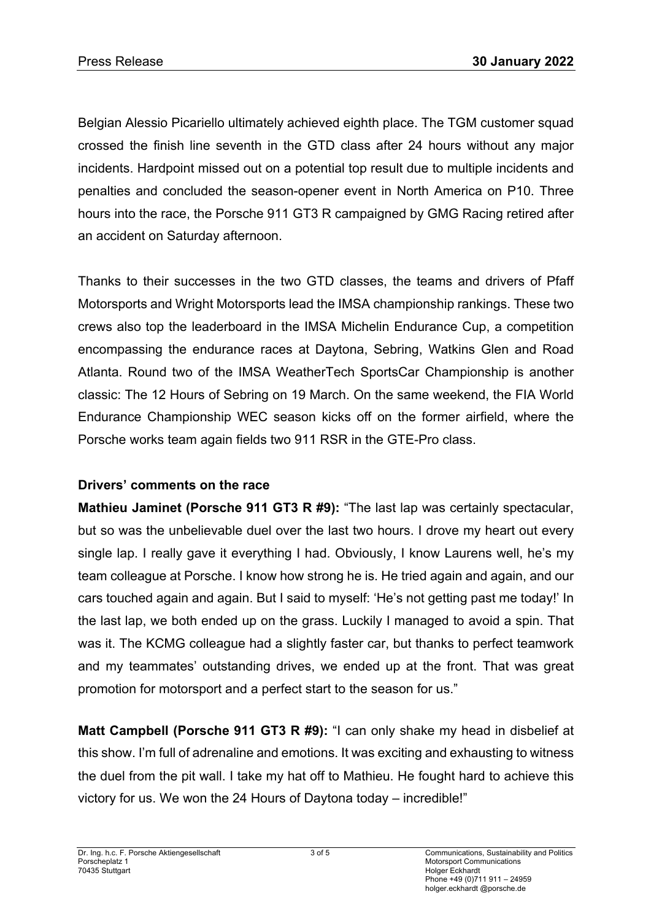Belgian Alessio Picariello ultimately achieved eighth place. The TGM customer squad crossed the finish line seventh in the GTD class after 24 hours without any major incidents. Hardpoint missed out on a potential top result due to multiple incidents and penalties and concluded the season-opener event in North America on P10. Three hours into the race, the Porsche 911 GT3 R campaigned by GMG Racing retired after an accident on Saturday afternoon.

Thanks to their successes in the two GTD classes, the teams and drivers of Pfaff Motorsports and Wright Motorsports lead the IMSA championship rankings. These two crews also top the leaderboard in the IMSA Michelin Endurance Cup, a competition encompassing the endurance races at Daytona, Sebring, Watkins Glen and Road Atlanta. Round two of the IMSA WeatherTech SportsCar Championship is another classic: The 12 Hours of Sebring on 19 March. On the same weekend, the FIA World Endurance Championship WEC season kicks off on the former airfield, where the Porsche works team again fields two 911 RSR in the GTE-Pro class.

# **Drivers' comments on the race**

**Mathieu Jaminet (Porsche 911 GT3 R #9):** "The last lap was certainly spectacular, but so was the unbelievable duel over the last two hours. I drove my heart out every single lap. I really gave it everything I had. Obviously, I know Laurens well, he's my team colleague at Porsche. I know how strong he is. He tried again and again, and our cars touched again and again. But I said to myself: 'He's not getting past me today!' In the last lap, we both ended up on the grass. Luckily I managed to avoid a spin. That was it. The KCMG colleague had a slightly faster car, but thanks to perfect teamwork and my teammates' outstanding drives, we ended up at the front. That was great promotion for motorsport and a perfect start to the season for us."

**Matt Campbell (Porsche 911 GT3 R #9):** "I can only shake my head in disbelief at this show. I'm full of adrenaline and emotions. It was exciting and exhausting to witness the duel from the pit wall. I take my hat off to Mathieu. He fought hard to achieve this victory for us. We won the 24 Hours of Daytona today – incredible!"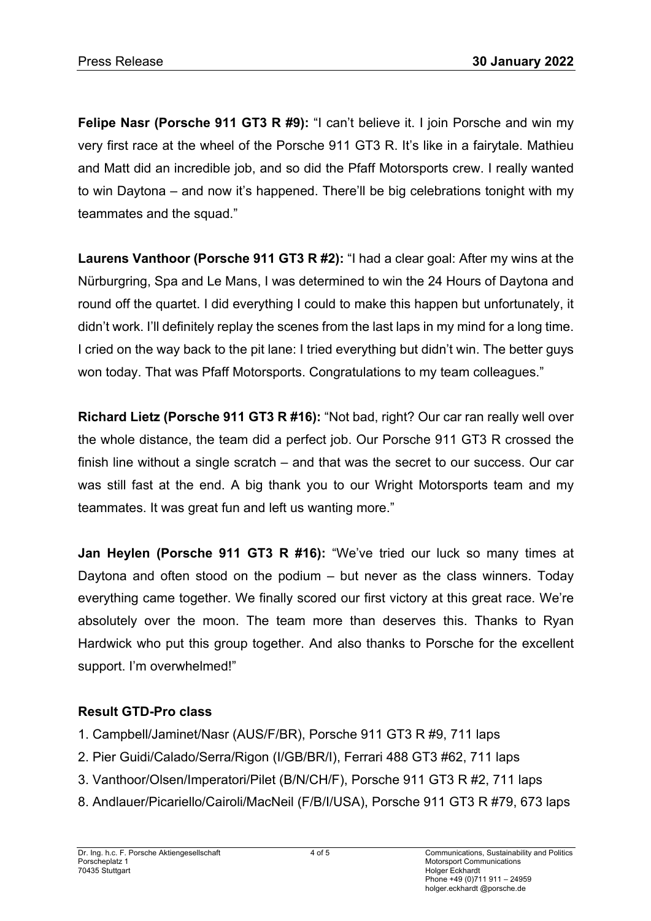**Felipe Nasr (Porsche 911 GT3 R #9):** "I can't believe it. I join Porsche and win my very first race at the wheel of the Porsche 911 GT3 R. It's like in a fairytale. Mathieu and Matt did an incredible job, and so did the Pfaff Motorsports crew. I really wanted to win Daytona – and now it's happened. There'll be big celebrations tonight with my teammates and the squad."

**Laurens Vanthoor (Porsche 911 GT3 R #2):** "I had a clear goal: After my wins at the Nürburgring, Spa and Le Mans, I was determined to win the 24 Hours of Daytona and round off the quartet. I did everything I could to make this happen but unfortunately, it didn't work. I'll definitely replay the scenes from the last laps in my mind for a long time. I cried on the way back to the pit lane: I tried everything but didn't win. The better guys won today. That was Pfaff Motorsports. Congratulations to my team colleagues."

**Richard Lietz (Porsche 911 GT3 R #16):** "Not bad, right? Our car ran really well over the whole distance, the team did a perfect job. Our Porsche 911 GT3 R crossed the finish line without a single scratch – and that was the secret to our success. Our car was still fast at the end. A big thank you to our Wright Motorsports team and my teammates. It was great fun and left us wanting more."

**Jan Heylen (Porsche 911 GT3 R #16):** "We've tried our luck so many times at Daytona and often stood on the podium – but never as the class winners. Today everything came together. We finally scored our first victory at this great race. We're absolutely over the moon. The team more than deserves this. Thanks to Ryan Hardwick who put this group together. And also thanks to Porsche for the excellent support. I'm overwhelmed!"

## **Result GTD-Pro class**

- 1. Campbell/Jaminet/Nasr (AUS/F/BR), Porsche 911 GT3 R #9, 711 laps
- 2. Pier Guidi/Calado/Serra/Rigon (I/GB/BR/I), Ferrari 488 GT3 #62, 711 laps
- 3. Vanthoor/Olsen/Imperatori/Pilet (B/N/CH/F), Porsche 911 GT3 R #2, 711 laps
- 8. Andlauer/Picariello/Cairoli/MacNeil (F/B/I/USA), Porsche 911 GT3 R #79, 673 laps